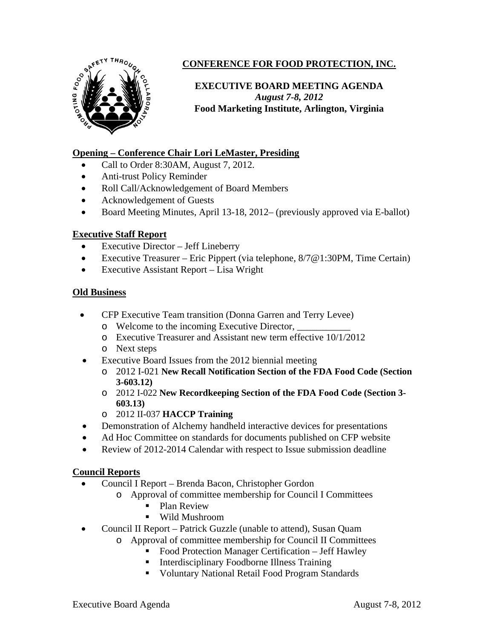

# **CONFERENCE FOR FOOD PROTECTION, INC.**

## **EXECUTIVE BOARD MEETING AGENDA**  *August 7-8, 2012*  **Food Marketing Institute, Arlington, Virginia**

### **Opening – Conference Chair Lori LeMaster, Presiding**

- Call to Order 8:30AM, August 7, 2012.
- Anti-trust Policy Reminder
- Roll Call/Acknowledgement of Board Members
- Acknowledgement of Guests
- Board Meeting Minutes, April 13-18, 2012– (previously approved via E-ballot)

### **Executive Staff Report**

- Executive Director Jeff Lineberry
- Executive Treasurer Eric Pippert (via telephone,  $8/7@1:30PM$ , Time Certain)
- Executive Assistant Report Lisa Wright

### **Old Business**

- CFP Executive Team transition (Donna Garren and Terry Levee)
	- o Welcome to the incoming Executive Director, \_\_\_\_\_\_\_\_\_\_\_
	- o Executive Treasurer and Assistant new term effective 10/1/2012
	- o Next steps
- Executive Board Issues from the 2012 biennial meeting
	- o 2012 I-021 **New Recall Notification Section of the FDA Food Code (Section 3-603.12)**
	- o 2012 I-022 **New Recordkeeping Section of the FDA Food Code (Section 3- 603.13)**
	- o 2012 II-037 **HACCP Training**
- Demonstration of Alchemy handheld interactive devices for presentations
- Ad Hoc Committee on standards for documents published on CFP website
- Review of 2012-2014 Calendar with respect to Issue submission deadline

### **Council Reports**

- Council I Report Brenda Bacon, Christopher Gordon
	- o Approval of committee membership for Council I Committees
		- **Plan Review**
		- Wild Mushroom
- Council II Report Patrick Guzzle (unable to attend), Susan Quam
	- o Approval of committee membership for Council II Committees
		- Food Protection Manager Certification Jeff Hawley
		- **Interdisciplinary Foodborne Illness Training**
		- Voluntary National Retail Food Program Standards